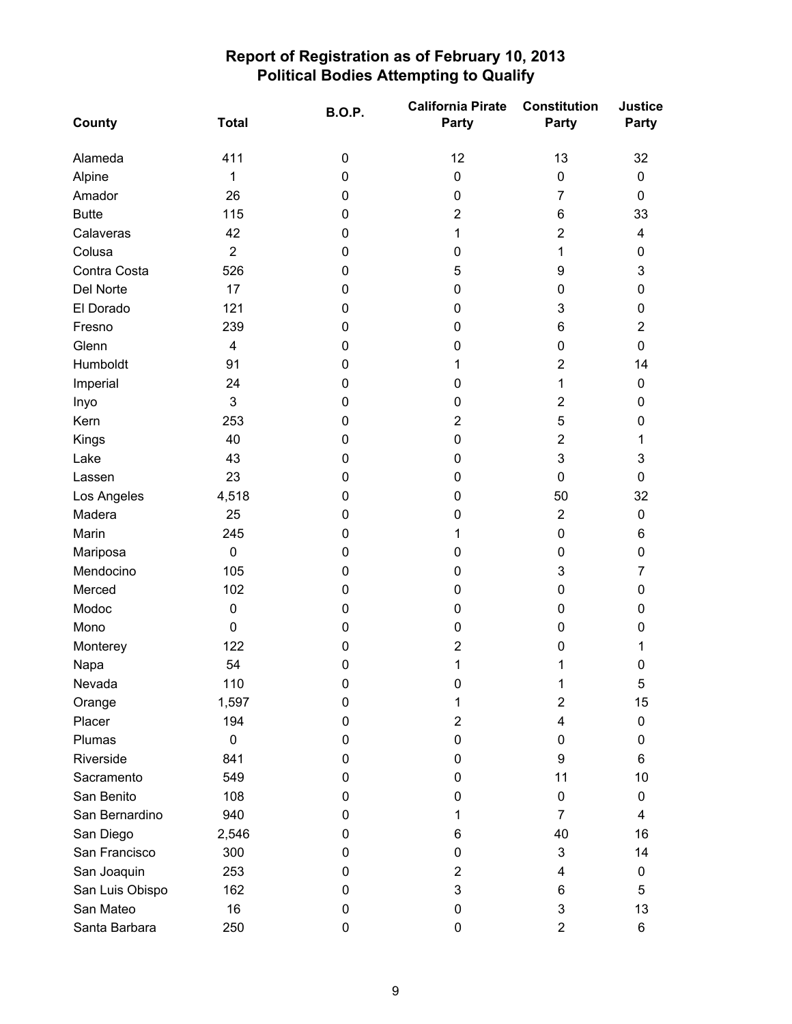| County          | <b>Total</b>            | <b>B.O.P.</b> | <b>California Pirate</b><br><b>Party</b> | <b>Constitution</b><br>Party | Justice<br>Party          |
|-----------------|-------------------------|---------------|------------------------------------------|------------------------------|---------------------------|
| Alameda         | 411                     | $\pmb{0}$     | 12                                       | 13                           | 32                        |
| Alpine          | 1                       | $\mathbf 0$   | $\pmb{0}$                                | $\pmb{0}$                    | 0                         |
| Amador          | 26                      | 0             | 0                                        | $\overline{7}$               | 0                         |
| <b>Butte</b>    | 115                     | 0             | 2                                        | 6                            | 33                        |
| Calaveras       | 42                      | 0             | 1                                        | $\overline{2}$               | 4                         |
| Colusa          | $\overline{2}$          | 0             | 0                                        | 1                            | 0                         |
| Contra Costa    | 526                     | $\mathbf 0$   | 5                                        | 9                            | $\ensuremath{\mathsf{3}}$ |
| Del Norte       | 17                      | 0             | 0                                        | 0                            | 0                         |
| El Dorado       | 121                     | $\mathbf 0$   | 0                                        | 3                            | 0                         |
| Fresno          | 239                     | 0             | 0                                        | 6                            | $\overline{2}$            |
| Glenn           | $\overline{\mathbf{4}}$ | 0             | 0                                        | 0                            | 0                         |
| Humboldt        | 91                      | $\mathbf 0$   | 1                                        | $\overline{2}$               | 14                        |
| Imperial        | 24                      | 0             | 0                                        | 1                            | 0                         |
| Inyo            | 3                       | 0             | 0                                        | $\overline{2}$               | 0                         |
| Kern            | 253                     | 0             | $\overline{2}$                           | 5                            | 0                         |
| Kings           | 40                      | 0             | 0                                        | $\overline{2}$               | 1                         |
| Lake            | 43                      | 0             | 0                                        | 3                            | 3                         |
| Lassen          | 23                      | 0             | 0                                        | 0                            | 0                         |
| Los Angeles     | 4,518                   | $\mathbf 0$   | 0                                        | 50                           | 32                        |
| Madera          | 25                      | 0             | 0                                        | $\overline{2}$               | 0                         |
| Marin           | 245                     | 0             | 1                                        | 0                            | 6                         |
| Mariposa        | $\pmb{0}$               | $\pmb{0}$     | 0                                        | 0                            | $\pmb{0}$                 |
| Mendocino       | 105                     | 0             | 0                                        | 3                            | $\overline{7}$            |
| Merced          | 102                     | $\pmb{0}$     | 0                                        | 0                            | 0                         |
| Modoc           | $\pmb{0}$               | 0             | 0                                        | 0                            | 0                         |
| Mono            | $\mathbf 0$             | $\pmb{0}$     | 0                                        | 0                            | 0                         |
| Monterey        | 122                     | 0             | 2                                        | 0                            | 1                         |
| Napa            | 54                      | 0             | 1                                        | 1                            | 0                         |
| Nevada          | 110                     | $\pmb{0}$     | 0                                        | 1                            | $\mathbf 5$               |
| Orange          | 1,597                   | 0             | 1                                        | $\overline{2}$               | 15                        |
| Placer          | 194                     | 0             | $\overline{2}$                           | 4                            | 0                         |
| Plumas          | 0                       | 0             | 0                                        | 0                            | 0                         |
| Riverside       | 841                     | 0             | 0                                        | 9                            | 6                         |
| Sacramento      | 549                     | 0             | 0                                        | 11                           | 10                        |
| San Benito      | 108                     | 0             | 0                                        | 0                            | 0                         |
| San Bernardino  | 940                     | 0             | 1                                        | $\overline{7}$               | 4                         |
| San Diego       | 2,546                   | 0             | 6                                        | 40                           | 16                        |
| San Francisco   | 300                     | 0             | 0                                        | 3                            | 14                        |
| San Joaquin     | 253                     | 0             | 2                                        | 4                            | 0                         |
| San Luis Obispo | 162                     | 0             | 3                                        | 6                            | 5                         |
| San Mateo       | 16                      | 0             | 0                                        | 3                            | 13                        |
| Santa Barbara   | 250                     | 0             | 0                                        | $\overline{2}$               | 6                         |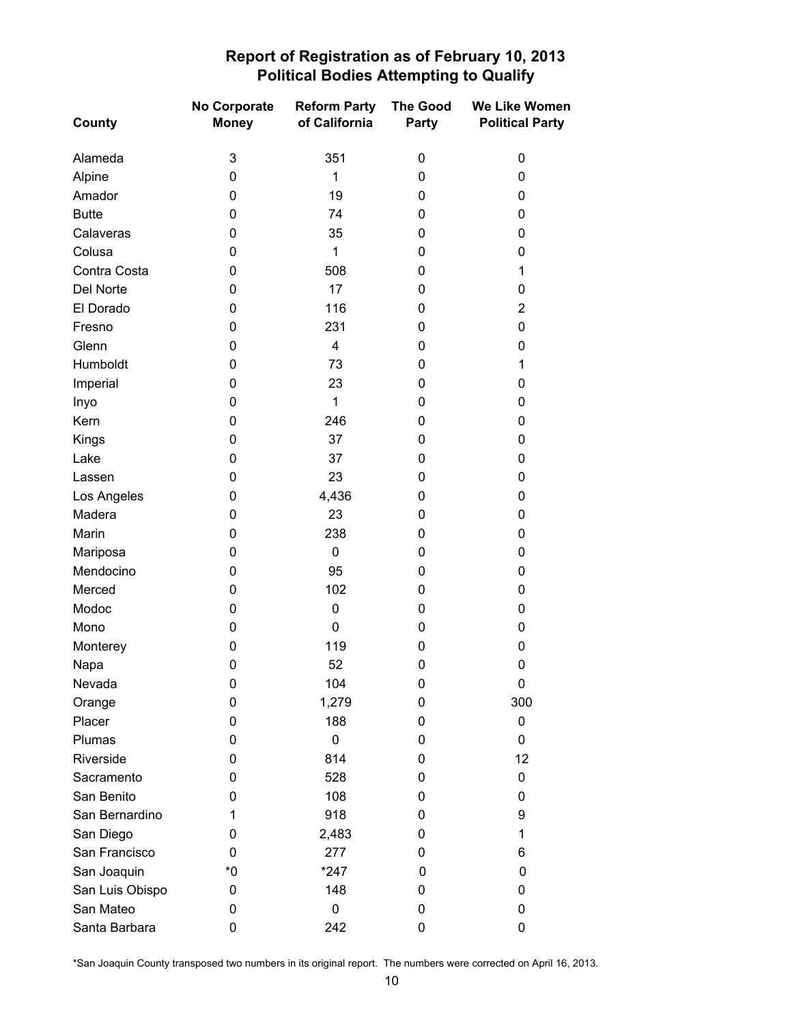| County          | No Corporate<br><b>Money</b> | <b>Reform Party</b><br>of California | <b>The Good</b><br>Party | We Like Women<br><b>Political Party</b> |
|-----------------|------------------------------|--------------------------------------|--------------------------|-----------------------------------------|
| Alameda         | 3                            | 351                                  | 0                        | $\pmb{0}$                               |
| Alpine          | 0                            | 1                                    | 0                        | 0                                       |
| Amador          | 0                            | 19                                   | 0                        | $\pmb{0}$                               |
| <b>Butte</b>    | 0                            | 74                                   | 0                        | 0                                       |
| Calaveras       | 0                            | 35                                   | 0                        | 0                                       |
| Colusa          | 0                            | $\mathbf{1}$                         | 0                        | 0                                       |
| Contra Costa    | 0                            | 508                                  | 0                        | 1                                       |
| Del Norte       | 0                            | 17                                   | 0                        | 0                                       |
| El Dorado       | 0                            | 116                                  | 0                        | $\overline{2}$                          |
| Fresno          | 0                            | 231                                  | 0                        | 0                                       |
| Glenn           | 0                            | $\overline{\mathbf{4}}$              | 0                        | 0                                       |
| Humboldt        | 0                            | 73                                   | 0                        | 1                                       |
| Imperial        | 0                            | 23                                   | 0                        | 0                                       |
| Inyo            | 0                            | 1                                    | 0                        | 0                                       |
| Kern            | 0                            | 246                                  | 0                        | 0                                       |
| Kings           | 0                            | 37                                   | 0                        | 0                                       |
| Lake            | 0                            | 37                                   | 0                        | $\pmb{0}$                               |
| Lassen          | 0                            | 23                                   | 0                        | 0                                       |
| Los Angeles     | 0                            | 4,436                                | 0                        | 0                                       |
| Madera          | 0                            | 23                                   | 0                        | $\pmb{0}$                               |
| Marin           | 0                            | 238                                  | 0                        | 0                                       |
| Mariposa        | 0                            | $\mathbf 0$                          | 0                        | $\pmb{0}$                               |
| Mendocino       | 0                            | 95                                   | 0                        | 0                                       |
| Merced          | 0                            | 102                                  | 0                        | 0                                       |
| Modoc           | 0                            | $\pmb{0}$                            | 0                        | $\pmb{0}$                               |
| Mono            | 0                            | 0                                    | 0                        | 0                                       |
| Monterey        | 0                            | 119                                  | 0                        | $\pmb{0}$                               |
| Napa            | 0                            | 52                                   | 0                        | 0                                       |
| Nevada          | 0                            | 104                                  | 0                        | 0                                       |
| Orange          | 0                            | 1,279                                | 0                        | 300                                     |
| Placer          | 0                            | 188                                  | 0                        | 0                                       |
| Plumas          | 0                            | $\mathbf 0$                          | 0                        | 0                                       |
| Riverside       | 0                            | 814                                  | 0                        | 12                                      |
| Sacramento      | 0                            | 528                                  | 0                        | 0                                       |
| San Benito      | 0                            | 108                                  | 0                        | 0                                       |
| San Bernardino  | 1                            | 918                                  | 0                        | 9                                       |
| San Diego       | 0                            | 2,483                                | 0                        | 1                                       |
| San Francisco   | 0                            | 277                                  | 0                        | 6                                       |
| San Joaquin     | *0                           | $*247$                               | 0                        | 0                                       |
| San Luis Obispo | 0                            | 148                                  | 0                        | 0                                       |
| San Mateo       | 0                            | 0                                    | 0                        | 0                                       |
| Santa Barbara   | 0                            | 242                                  | 0                        | 0                                       |

\*San Joaquin County transposed two numbers in its original report. The numbers were corrected on April 16, 2013.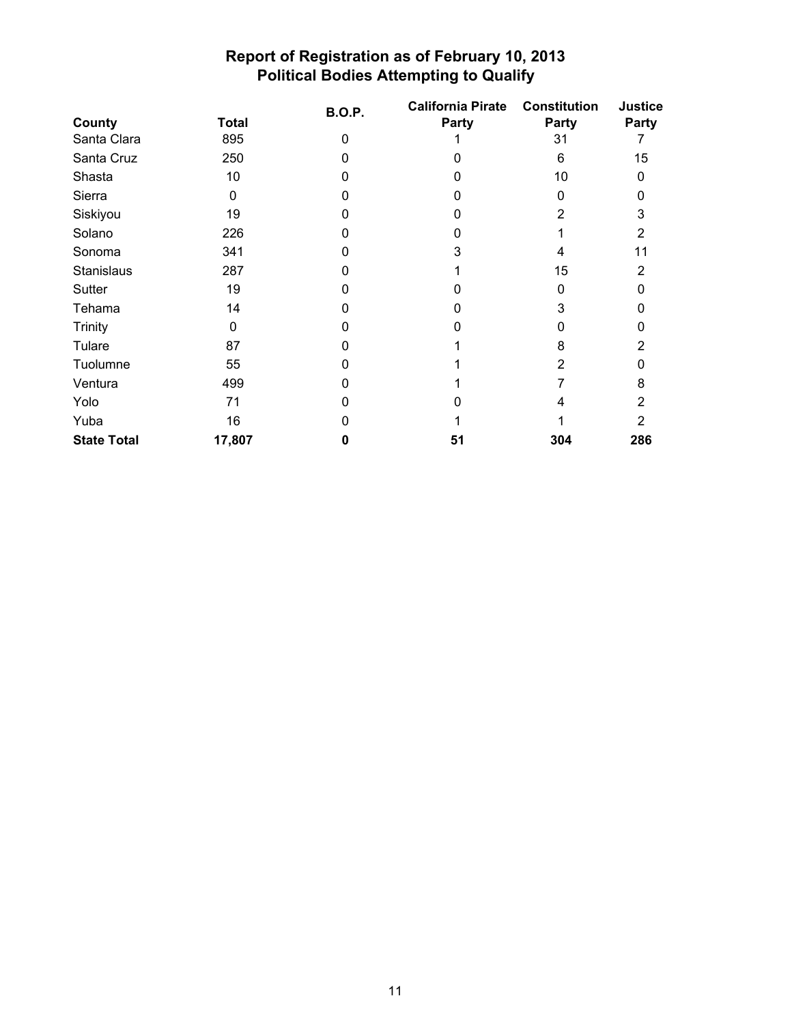|                    |              | <b>B.O.P.</b> | <b>California Pirate</b> | <b>Constitution</b> | <b>Justice</b> |
|--------------------|--------------|---------------|--------------------------|---------------------|----------------|
| County             | <b>Total</b> |               | Party                    | Party               | Party          |
| Santa Clara        | 895          | $\mathbf 0$   |                          | 31                  |                |
| Santa Cruz         | 250          | 0             | O                        | 6                   | 15             |
| Shasta             | 10           | 0             | O                        | 10                  | 0              |
| Sierra             | 0            | 0             | O                        | 0                   | o              |
| Siskiyou           | 19           | ი             | n                        | 2                   | 3              |
| Solano             | 226          | ი             | O                        |                     | 2              |
| Sonoma             | 341          | ი             | 3                        | 4                   | 11             |
| <b>Stanislaus</b>  | 287          | ი             |                          | 15                  | 2              |
| <b>Sutter</b>      | 19           | ი             |                          | 0                   |                |
| Tehama             | 14           | 0             |                          | 3                   |                |
| <b>Trinity</b>     | $\mathbf 0$  |               |                          |                     |                |
| Tulare             | 87           |               |                          | 8                   | 2              |
| Tuolumne           | 55           |               |                          | 2                   |                |
| Ventura            | 499          | O             |                          |                     | 8              |
| Yolo               | 71           | ი             |                          |                     | 2              |
| Yuba               | 16           |               |                          |                     | 2              |
| <b>State Total</b> | 17,807       | 0             | 51                       | 304                 | 286            |